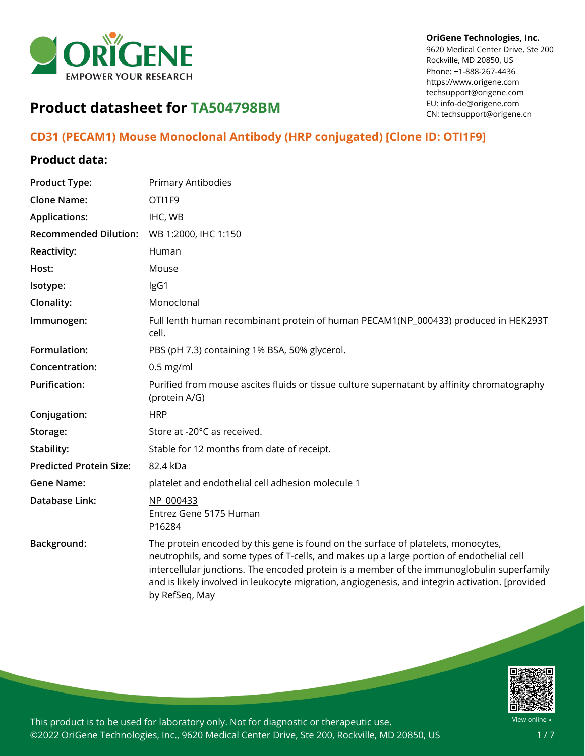

#### **OriGene Technologies, Inc.**

9620 Medical Center Drive, Ste 200 Rockville, MD 20850, US Phone: +1-888-267-4436 https://www.origene.com techsupport@origene.com EU: info-de@origene.com CN: techsupport@origene.cn

# **Product datasheet for TA504798BM**

## **CD31 (PECAM1) Mouse Monoclonal Antibody (HRP conjugated) [Clone ID: OTI1F9]**

### **Product data:**

| <b>Product Type:</b>           | Primary Antibodies                                                                                                                                                                                                                                                                                                                                                                               |
|--------------------------------|--------------------------------------------------------------------------------------------------------------------------------------------------------------------------------------------------------------------------------------------------------------------------------------------------------------------------------------------------------------------------------------------------|
| <b>Clone Name:</b>             | OTI1F9                                                                                                                                                                                                                                                                                                                                                                                           |
| <b>Applications:</b>           | IHC, WB                                                                                                                                                                                                                                                                                                                                                                                          |
| <b>Recommended Dilution:</b>   | WB 1:2000, IHC 1:150                                                                                                                                                                                                                                                                                                                                                                             |
| <b>Reactivity:</b>             | Human                                                                                                                                                                                                                                                                                                                                                                                            |
| Host:                          | Mouse                                                                                                                                                                                                                                                                                                                                                                                            |
| Isotype:                       | IgG1                                                                                                                                                                                                                                                                                                                                                                                             |
| Clonality:                     | Monoclonal                                                                                                                                                                                                                                                                                                                                                                                       |
| Immunogen:                     | Full lenth human recombinant protein of human PECAM1(NP_000433) produced in HEK293T<br>cell.                                                                                                                                                                                                                                                                                                     |
| Formulation:                   | PBS (pH 7.3) containing 1% BSA, 50% glycerol.                                                                                                                                                                                                                                                                                                                                                    |
| Concentration:                 | $0.5$ mg/ml                                                                                                                                                                                                                                                                                                                                                                                      |
| <b>Purification:</b>           | Purified from mouse ascites fluids or tissue culture supernatant by affinity chromatography<br>(protein A/G)                                                                                                                                                                                                                                                                                     |
| Conjugation:                   | <b>HRP</b>                                                                                                                                                                                                                                                                                                                                                                                       |
| Storage:                       | Store at -20°C as received.                                                                                                                                                                                                                                                                                                                                                                      |
| Stability:                     | Stable for 12 months from date of receipt.                                                                                                                                                                                                                                                                                                                                                       |
| <b>Predicted Protein Size:</b> | 82.4 kDa                                                                                                                                                                                                                                                                                                                                                                                         |
| <b>Gene Name:</b>              | platelet and endothelial cell adhesion molecule 1                                                                                                                                                                                                                                                                                                                                                |
| <b>Database Link:</b>          | NP 000433<br>Entrez Gene 5175 Human<br>P16284                                                                                                                                                                                                                                                                                                                                                    |
| Background:                    | The protein encoded by this gene is found on the surface of platelets, monocytes,<br>neutrophils, and some types of T-cells, and makes up a large portion of endothelial cell<br>intercellular junctions. The encoded protein is a member of the immunoglobulin superfamily<br>and is likely involved in leukocyte migration, angiogenesis, and integrin activation. [provided<br>by RefSeq, May |

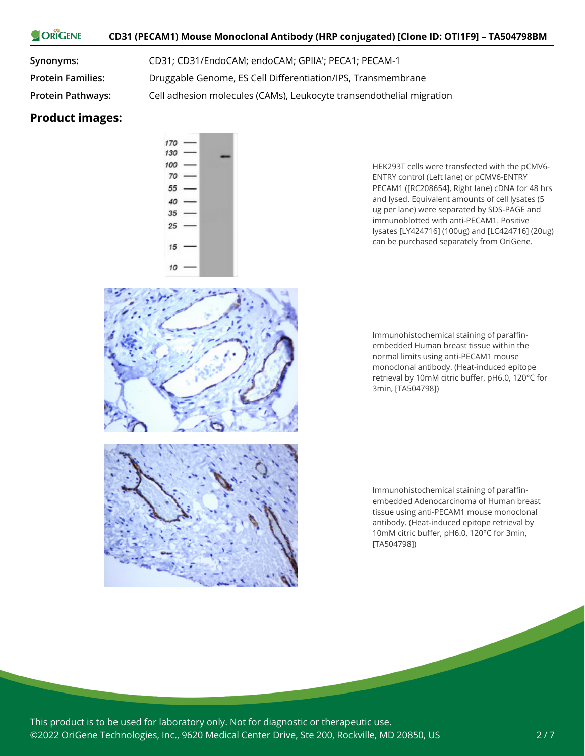#### ORIGENE **CD31 (PECAM1) Mouse Monoclonal Antibody (HRP conjugated) [Clone ID: OTI1F9] – TA504798BM**

**Synonyms:** CD31; CD31/EndoCAM; endoCAM; GPIIA'; PECA1; PECAM-1 **Protein Families:** Druggable Genome, ES Cell Differentiation/IPS, Transmembrane **Protein Pathways:** Cell adhesion molecules (CAMs), Leukocyte transendothelial migration

#### **Product images:**



HEK293T cells were transfected with the pCMV6- ENTRY control (Left lane) or pCMV6-ENTRY PECAM1 ([RC208654], Right lane) cDNA for 48 hrs and lysed. Equivalent amounts of cell lysates (5 ug per lane) were separated by SDS-PAGE and immunoblotted with anti-PECAM1. Positive lysates [LY424716] (100ug) and [LC424716] (20ug) can be purchased separately from OriGene.

Immunohistochemical staining of paraffinembedded Human breast tissue within the normal limits using anti-PECAM1 mouse monoclonal antibody. (Heat-induced epitope retrieval by 10mM citric buffer, pH6.0, 120°C for 3min, [TA504798])



Immunohistochemical staining of paraffinembedded Adenocarcinoma of Human breast tissue using anti-PECAM1 mouse monoclonal antibody. (Heat-induced epitope retrieval by 10mM citric buffer, pH6.0, 120°C for 3min, [TA504798])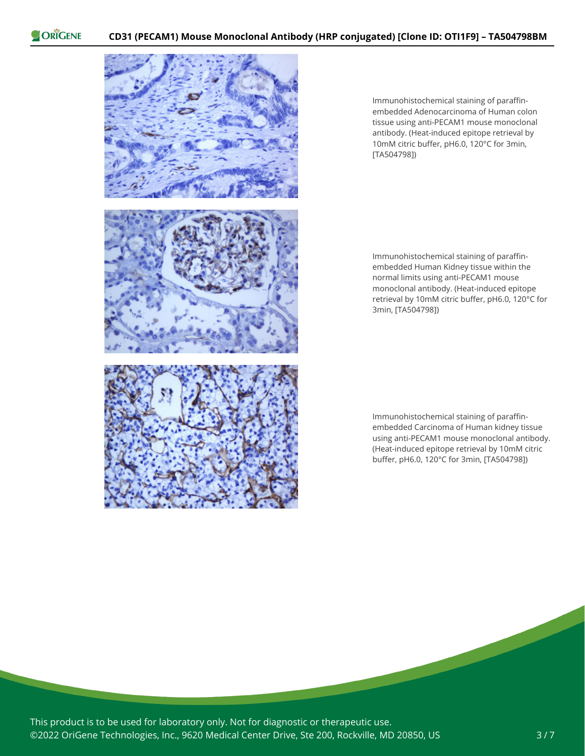

Immunohistochemical staining of paraffinembedded Adenocarcinoma of Human colon tissue using anti-PECAM1 mouse monoclonal antibody. (Heat-induced epitope retrieval by 10mM citric buffer, pH6.0, 120°C for 3min, [TA504798])

Immunohistochemical staining of paraffinembedded Human Kidney tissue within the normal limits using anti-PECAM1 mouse monoclonal antibody. (Heat-induced epitope retrieval by 10mM citric buffer, pH6.0, 120°C for 3min, [TA504798])

Immunohistochemical staining of paraffinembedded Carcinoma of Human kidney tissue using anti-PECAM1 mouse monoclonal antibody. (Heat-induced epitope retrieval by 10mM citric buffer, pH6.0, 120°C for 3min, [TA504798])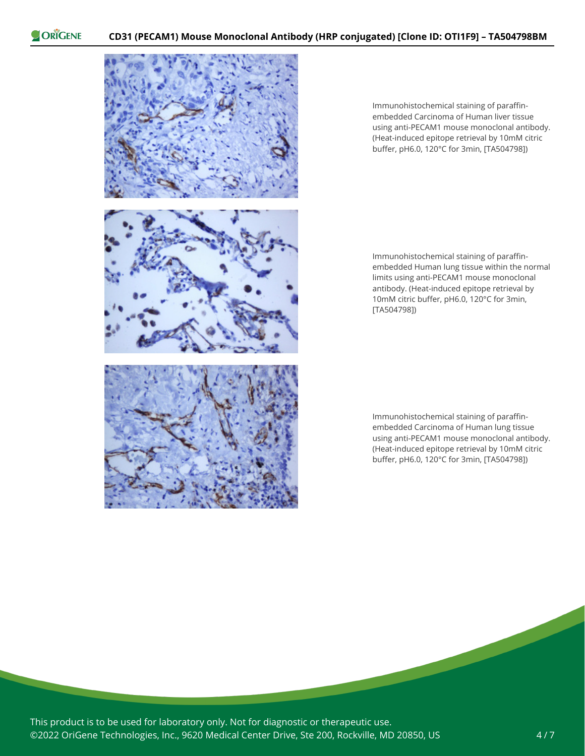

Immunohistochemical staining of paraffinembedded Carcinoma of Human liver tissue using anti-PECAM1 mouse monoclonal antibody. (Heat-induced epitope retrieval by 10mM citric buffer, pH6.0, 120°C for 3min, [TA504798])

Immunohistochemical staining of paraffinembedded Human lung tissue within the normal limits using anti-PECAM1 mouse monoclonal antibody. (Heat-induced epitope retrieval by 10mM citric buffer, pH6.0, 120°C for 3min, [TA504798])

Immunohistochemical staining of paraffinembedded Carcinoma of Human lung tissue using anti-PECAM1 mouse monoclonal antibody. (Heat-induced epitope retrieval by 10mM citric buffer, pH6.0, 120°C for 3min, [TA504798])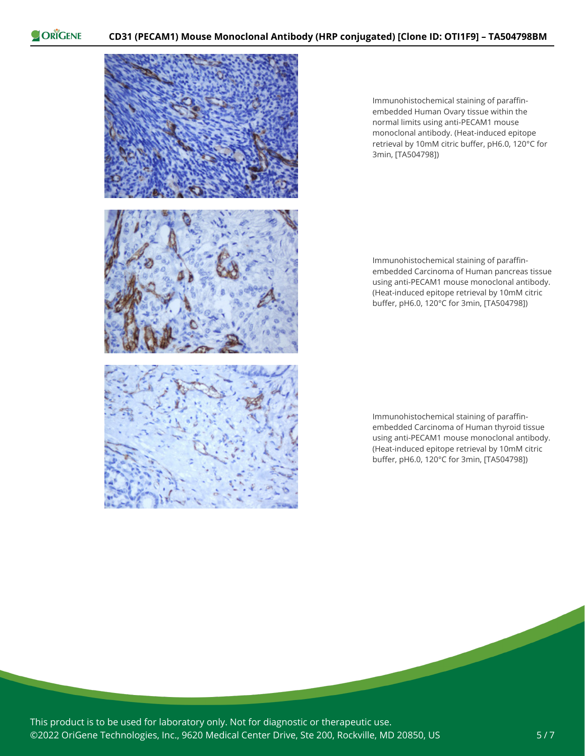

Immunohistochemical staining of paraffinembedded Human Ovary tissue within the normal limits using anti-PECAM1 mouse monoclonal antibody. (Heat-induced epitope retrieval by 10mM citric buffer, pH6.0, 120°C for 3min, [TA504798])

Immunohistochemical staining of paraffinembedded Carcinoma of Human pancreas tissue using anti-PECAM1 mouse monoclonal antibody. (Heat-induced epitope retrieval by 10mM citric buffer, pH6.0, 120°C for 3min, [TA504798])

Immunohistochemical staining of paraffinembedded Carcinoma of Human thyroid tissue using anti-PECAM1 mouse monoclonal antibody. (Heat-induced epitope retrieval by 10mM citric buffer, pH6.0, 120°C for 3min, [TA504798])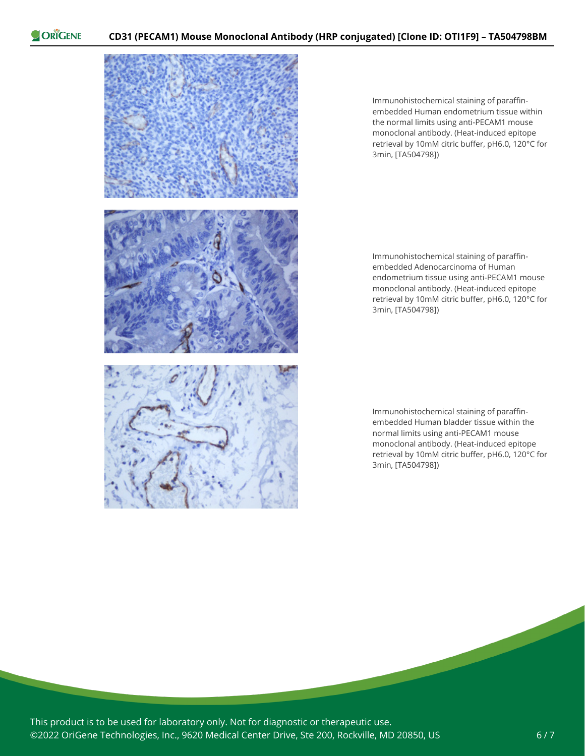

Immunohistochemical staining of paraffinembedded Human endometrium tissue within the normal limits using anti-PECAM1 mouse monoclonal antibody. (Heat-induced epitope retrieval by 10mM citric buffer, pH6.0, 120°C for 3min, [TA504798])

Immunohistochemical staining of paraffinembedded Adenocarcinoma of Human endometrium tissue using anti-PECAM1 mouse monoclonal antibody. (Heat-induced epitope retrieval by 10mM citric buffer, pH6.0, 120°C for 3min, [TA504798])

Immunohistochemical staining of paraffinembedded Human bladder tissue within the normal limits using anti-PECAM1 mouse monoclonal antibody. (Heat-induced epitope retrieval by 10mM citric buffer, pH6.0, 120°C for 3min, [TA504798])